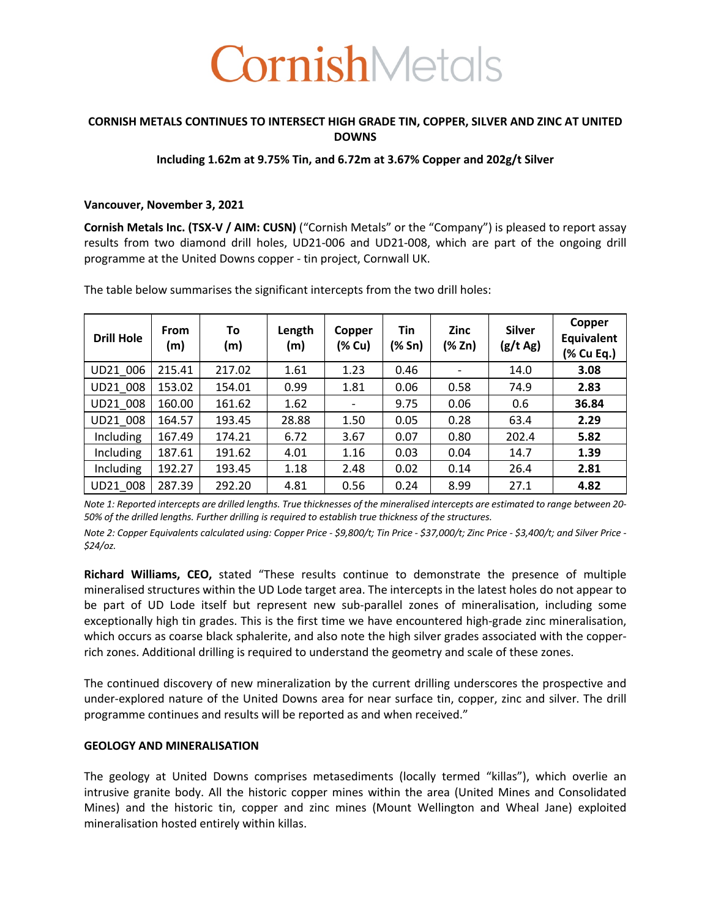

# **CORNISH METALS CONTINUES TO INTERSECT HIGH GRADE TIN, COPPER, SILVER AND ZINC AT UNITED DOWNS**

## **Including 1.62m at 9.75% Tin, and 6.72m at 3.67% Copper and 202g/t Silver**

## **Vancouver, November 3, 2021**

**Cornish Metals Inc. (TSX-V / AIM: CUSN)** ("Cornish Metals" or the "Company") is pleased to report assay results from two diamond drill holes, UD21-006 and UD21-008, which are part of the ongoing drill programme at the United Downs copper - tin project, Cornwall UK.

| <b>Drill Hole</b> | <b>From</b><br>(m) | To<br>(m) | Length<br>(m) | Copper<br>(% Cu) | Tin<br>(% Sn) | <b>Zinc</b><br>(% Zn)    | <b>Silver</b><br>(g/t Ag) | Copper<br>Equivalent<br>(% Cu Eq.) |
|-------------------|--------------------|-----------|---------------|------------------|---------------|--------------------------|---------------------------|------------------------------------|
| UD21_006          | 215.41             | 217.02    | 1.61          | 1.23             | 0.46          | $\overline{\phantom{a}}$ | 14.0                      | 3.08                               |
| UD21 008          | 153.02             | 154.01    | 0.99          | 1.81             | 0.06          | 0.58                     | 74.9                      | 2.83                               |
| UD21 008          | 160.00             | 161.62    | 1.62          |                  | 9.75          | 0.06                     | 0.6                       | 36.84                              |
| UD21 008          | 164.57             | 193.45    | 28.88         | 1.50             | 0.05          | 0.28                     | 63.4                      | 2.29                               |
| <b>Including</b>  | 167.49             | 174.21    | 6.72          | 3.67             | 0.07          | 0.80                     | 202.4                     | 5.82                               |
| Including         | 187.61             | 191.62    | 4.01          | 1.16             | 0.03          | 0.04                     | 14.7                      | 1.39                               |
| Including         | 192.27             | 193.45    | 1.18          | 2.48             | 0.02          | 0.14                     | 26.4                      | 2.81                               |
| UD21 008          | 287.39             | 292.20    | 4.81          | 0.56             | 0.24          | 8.99                     | 27.1                      | 4.82                               |

The table below summarises the significant intercepts from the two drill holes:

*Note 1: Reported intercepts are drilled lengths. True thicknesses of the mineralised intercepts are estimated to range between 20- 50% of the drilled lengths. Further drilling is required to establish true thickness of the structures.*

*Note 2: Copper Equivalents calculated using: Copper Price - \$9,800/t; Tin Price - \$37,000/t; Zinc Price - \$3,400/t; and Silver Price - \$24/oz.*

**Richard Williams, CEO,** stated "These results continue to demonstrate the presence of multiple mineralised structures within the UD Lode target area. The intercepts in the latest holes do not appear to be part of UD Lode itself but represent new sub-parallel zones of mineralisation, including some exceptionally high tin grades. This is the first time we have encountered high-grade zinc mineralisation, which occurs as coarse black sphalerite, and also note the high silver grades associated with the copperrich zones. Additional drilling is required to understand the geometry and scale of these zones.

The continued discovery of new mineralization by the current drilling underscores the prospective and under-explored nature of the United Downs area for near surface tin, copper, zinc and silver. The drill programme continues and results will be reported as and when received."

## **GEOLOGY AND MINERALISATION**

The geology at United Downs comprises metasediments (locally termed "killas"), which overlie an intrusive granite body. All the historic copper mines within the area (United Mines and Consolidated Mines) and the historic tin, copper and zinc mines (Mount Wellington and Wheal Jane) exploited mineralisation hosted entirely within killas.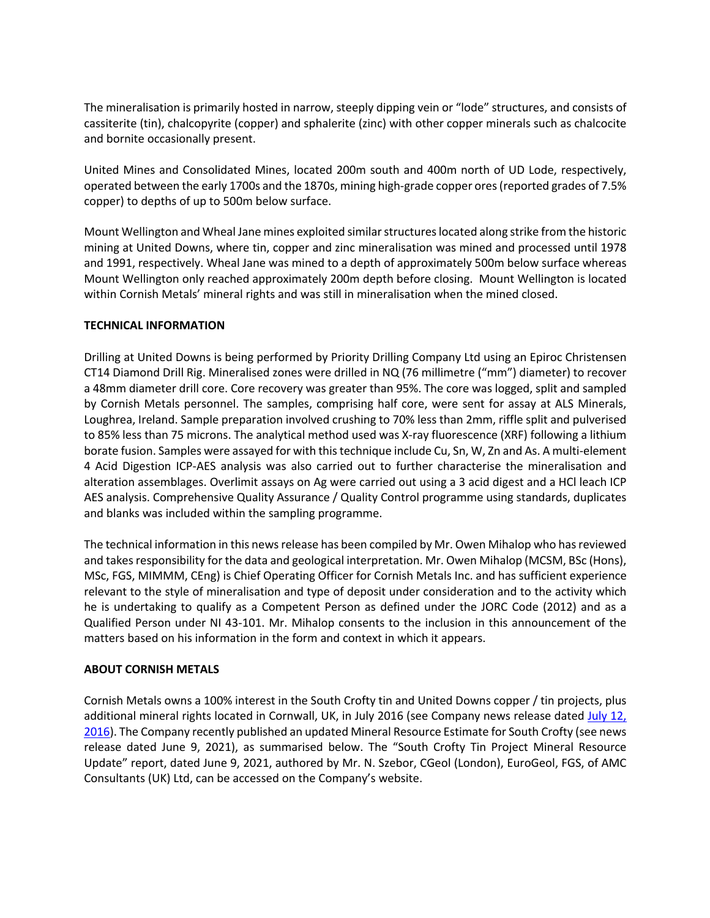The mineralisation is primarily hosted in narrow, steeply dipping vein or "lode" structures, and consists of cassiterite (tin), chalcopyrite (copper) and sphalerite (zinc) with other copper minerals such as chalcocite and bornite occasionally present.

United Mines and Consolidated Mines, located 200m south and 400m north of UD Lode, respectively, operated between the early 1700s and the 1870s, mining high-grade copper ores (reported grades of 7.5% copper) to depths of up to 500m below surface.

Mount Wellington and Wheal Jane mines exploited similar structures located along strike from the historic mining at United Downs, where tin, copper and zinc mineralisation was mined and processed until 1978 and 1991, respectively. Wheal Jane was mined to a depth of approximately 500m below surface whereas Mount Wellington only reached approximately 200m depth before closing. Mount Wellington is located within Cornish Metals' mineral rights and was still in mineralisation when the mined closed.

# **TECHNICAL INFORMATION**

Drilling at United Downs is being performed by Priority Drilling Company Ltd using an Epiroc Christensen CT14 Diamond Drill Rig. Mineralised zones were drilled in NQ (76 millimetre ("mm") diameter) to recover a 48mm diameter drill core. Core recovery was greater than 95%. The core was logged, split and sampled by Cornish Metals personnel. The samples, comprising half core, were sent for assay at ALS Minerals, Loughrea, Ireland. Sample preparation involved crushing to 70% less than 2mm, riffle split and pulverised to 85% less than 75 microns. The analytical method used was X-ray fluorescence (XRF) following a lithium borate fusion. Samples were assayed for with this technique include Cu, Sn, W, Zn and As. A multi-element 4 Acid Digestion ICP-AES analysis was also carried out to further characterise the mineralisation and alteration assemblages. Overlimit assays on Ag were carried out using a 3 acid digest and a HCl leach ICP AES analysis. Comprehensive Quality Assurance / Quality Control programme using standards, duplicates and blanks was included within the sampling programme.

The technical information in this news release has been compiled by Mr. Owen Mihalop who has reviewed and takes responsibility for the data and geological interpretation. Mr. Owen Mihalop (MCSM, BSc (Hons), MSc, FGS, MIMMM, CEng) is Chief Operating Officer for Cornish Metals Inc. and has sufficient experience relevant to the style of mineralisation and type of deposit under consideration and to the activity which he is undertaking to qualify as a Competent Person as defined under the JORC Code (2012) and as a Qualified Person under NI 43-101. Mr. Mihalop consents to the inclusion in this announcement of the matters based on his information in the form and context in which it appears.

### **ABOUT CORNISH METALS**

Cornish Metals owns a 100% interest in the South Crofty tin and United Downs copper / tin projects, plus additional mineral rights located in Cornwall, UK, in July 2016 (see Company news release dated July 12, 2016). The Company recently published an updated Mineral Resource Estimate for South Crofty (see news release dated June 9, 2021), as summarised below. The "South Crofty Tin Project Mineral Resource Update" report, dated June 9, 2021, authored by Mr. N. Szebor, CGeol (London), EuroGeol, FGS, of AMC Consultants (UK) Ltd, can be accessed on the Company's website.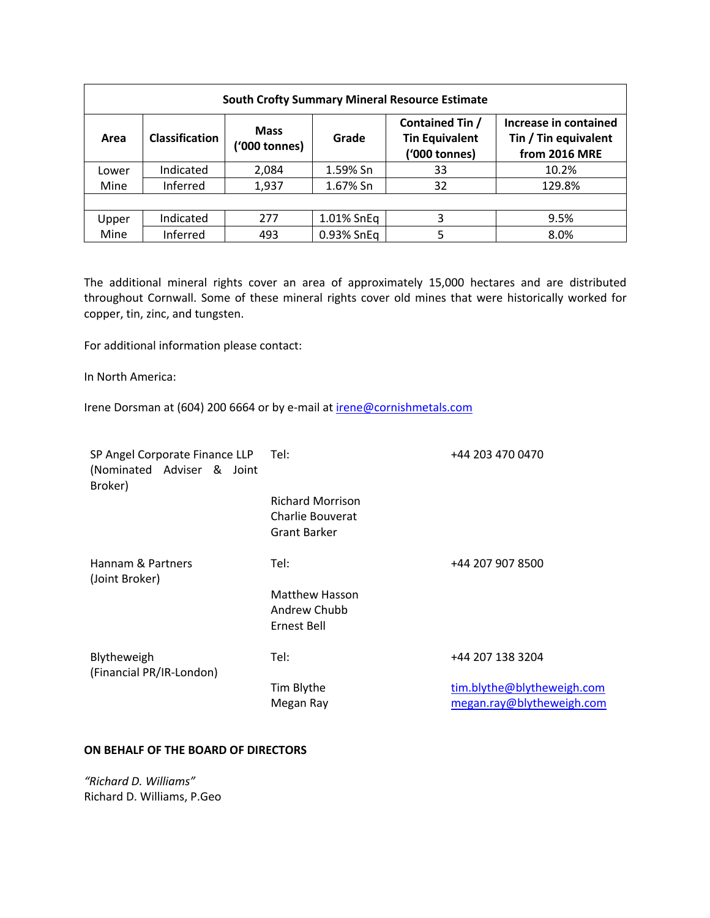| <b>South Crofty Summary Mineral Resource Estimate</b> |                       |                              |            |                                                           |                                                                       |  |  |  |
|-------------------------------------------------------|-----------------------|------------------------------|------------|-----------------------------------------------------------|-----------------------------------------------------------------------|--|--|--|
| Area                                                  | <b>Classification</b> | <b>Mass</b><br>('000 tonnes) | Grade      | Contained Tin /<br><b>Tin Equivalent</b><br>('000 tonnes) | Increase in contained<br>Tin / Tin equivalent<br><b>from 2016 MRE</b> |  |  |  |
| Lower                                                 | Indicated             | 2,084                        | 1.59% Sn   | 33                                                        | 10.2%                                                                 |  |  |  |
| Mine                                                  | Inferred              | 1,937                        | 1.67% Sn   | 32                                                        | 129.8%                                                                |  |  |  |
|                                                       |                       |                              |            |                                                           |                                                                       |  |  |  |
| Upper                                                 | Indicated             | 277                          | 1.01% SnEq | 3                                                         | 9.5%                                                                  |  |  |  |
| Mine                                                  | Inferred              | 493                          | 0.93% SnEq |                                                           | 8.0%                                                                  |  |  |  |

The additional mineral rights cover an area of approximately 15,000 hectares and are distributed throughout Cornwall. Some of these mineral rights cover old mines that were historically worked for copper, tin, zinc, and tungsten.

For additional information please contact:

In North America:

Irene Dorsman at (604) 200 6664 or by e-mail at irene@cornishmetals.com

| SP Angel Corporate Finance LLP<br>(Nominated Adviser & Joint<br>Broker) | Tel:                                                               | +44 203 470 0470           |
|-------------------------------------------------------------------------|--------------------------------------------------------------------|----------------------------|
|                                                                         | <b>Richard Morrison</b><br>Charlie Bouverat<br><b>Grant Barker</b> |                            |
| Hannam & Partners<br>(Joint Broker)                                     | Tel:                                                               | +44 207 907 8500           |
|                                                                         | <b>Matthew Hasson</b><br>Andrew Chubb<br>Ernest Bell               |                            |
| Blytheweigh<br>(Financial PR/IR-London)                                 | Tel:                                                               | +44 207 138 3204           |
|                                                                         | Tim Blythe                                                         | tim.blythe@blytheweigh.com |
|                                                                         | Megan Ray                                                          | megan.ray@blytheweigh.com  |

### **ON BEHALF OF THE BOARD OF DIRECTORS**

*"Richard D. Williams"* Richard D. Williams, P.Geo